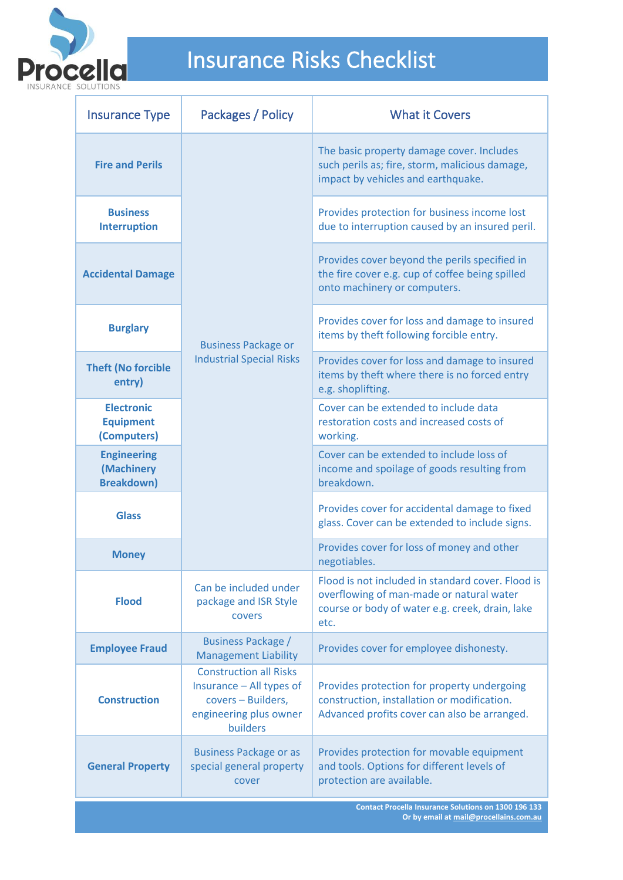

| <b>Insurance Type</b>                                 | Packages / Policy                                                                                                     | <b>What it Covers</b>                                                                                                                                    |
|-------------------------------------------------------|-----------------------------------------------------------------------------------------------------------------------|----------------------------------------------------------------------------------------------------------------------------------------------------------|
| <b>Fire and Perils</b>                                | <b>Business Package or</b><br><b>Industrial Special Risks</b>                                                         | The basic property damage cover. Includes<br>such perils as; fire, storm, malicious damage,<br>impact by vehicles and earthquake.                        |
| <b>Business</b><br><b>Interruption</b>                |                                                                                                                       | Provides protection for business income lost<br>due to interruption caused by an insured peril.                                                          |
| <b>Accidental Damage</b>                              |                                                                                                                       | Provides cover beyond the perils specified in<br>the fire cover e.g. cup of coffee being spilled<br>onto machinery or computers.                         |
| <b>Burglary</b>                                       |                                                                                                                       | Provides cover for loss and damage to insured<br>items by theft following forcible entry.                                                                |
| <b>Theft (No forcible</b><br>entry)                   |                                                                                                                       | Provides cover for loss and damage to insured<br>items by theft where there is no forced entry<br>e.g. shoplifting.                                      |
| <b>Electronic</b><br><b>Equipment</b><br>(Computers)  |                                                                                                                       | Cover can be extended to include data<br>restoration costs and increased costs of<br>working.                                                            |
| <b>Engineering</b><br>(Machinery<br><b>Breakdown)</b> |                                                                                                                       | Cover can be extended to include loss of<br>income and spoilage of goods resulting from<br>breakdown.                                                    |
| <b>Glass</b>                                          |                                                                                                                       | Provides cover for accidental damage to fixed<br>glass. Cover can be extended to include signs.                                                          |
| <b>Money</b>                                          |                                                                                                                       | Provides cover for loss of money and other<br>negotiables.                                                                                               |
| <b>Flood</b>                                          | Can be included under<br>package and ISR Style<br>covers                                                              | Flood is not included in standard cover. Flood is<br>overflowing of man-made or natural water<br>course or body of water e.g. creek, drain, lake<br>etc. |
| <b>Employee Fraud</b>                                 | <b>Business Package /</b><br><b>Management Liability</b>                                                              | Provides cover for employee dishonesty.                                                                                                                  |
| <b>Construction</b>                                   | <b>Construction all Risks</b><br>Insurance - All types of<br>covers - Builders,<br>engineering plus owner<br>builders | Provides protection for property undergoing<br>construction, installation or modification.<br>Advanced profits cover can also be arranged.               |
| <b>General Property</b>                               | <b>Business Package or as</b><br>special general property<br>cover                                                    | Provides protection for movable equipment<br>and tools. Options for different levels of<br>protection are available.                                     |
|                                                       |                                                                                                                       | <b>Contact Procella Insurance Solutions on 1300 196 133</b><br>Or by email at mail@procellains.com.au                                                    |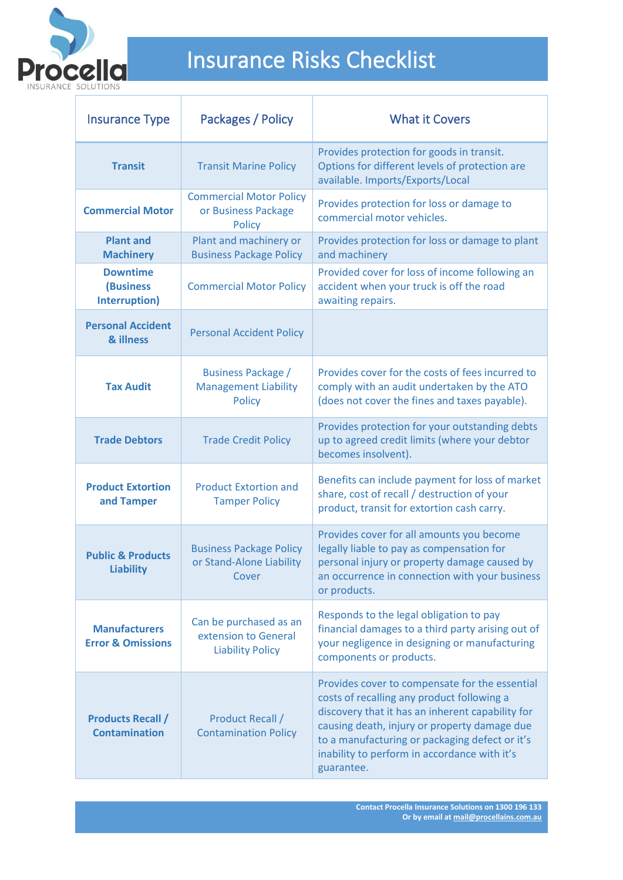

| <b>Insurance Type</b>                                | Packages / Policy                                                         | <b>What it Covers</b>                                                                                                                                                                                                                                                                                            |
|------------------------------------------------------|---------------------------------------------------------------------------|------------------------------------------------------------------------------------------------------------------------------------------------------------------------------------------------------------------------------------------------------------------------------------------------------------------|
| <b>Transit</b>                                       | <b>Transit Marine Policy</b>                                              | Provides protection for goods in transit.<br>Options for different levels of protection are<br>available. Imports/Exports/Local                                                                                                                                                                                  |
| <b>Commercial Motor</b>                              | <b>Commercial Motor Policy</b><br>or Business Package<br><b>Policy</b>    | Provides protection for loss or damage to<br>commercial motor vehicles.                                                                                                                                                                                                                                          |
| <b>Plant and</b><br><b>Machinery</b>                 | Plant and machinery or<br><b>Business Package Policy</b>                  | Provides protection for loss or damage to plant<br>and machinery                                                                                                                                                                                                                                                 |
| <b>Downtime</b><br><b>(Business</b><br>Interruption) | <b>Commercial Motor Policy</b>                                            | Provided cover for loss of income following an<br>accident when your truck is off the road<br>awaiting repairs.                                                                                                                                                                                                  |
| <b>Personal Accident</b><br>& illness                | <b>Personal Accident Policy</b>                                           |                                                                                                                                                                                                                                                                                                                  |
| <b>Tax Audit</b>                                     | <b>Business Package /</b><br><b>Management Liability</b><br><b>Policy</b> | Provides cover for the costs of fees incurred to<br>comply with an audit undertaken by the ATO<br>(does not cover the fines and taxes payable).                                                                                                                                                                  |
| <b>Trade Debtors</b>                                 | <b>Trade Credit Policy</b>                                                | Provides protection for your outstanding debts<br>up to agreed credit limits (where your debtor<br>becomes insolvent).                                                                                                                                                                                           |
| <b>Product Extortion</b><br>and Tamper               | <b>Product Extortion and</b><br><b>Tamper Policy</b>                      | Benefits can include payment for loss of market<br>share, cost of recall / destruction of your<br>product, transit for extortion cash carry.                                                                                                                                                                     |
| <b>Public &amp; Products</b><br><b>Liability</b>     | <b>Business Package Policy</b><br>or Stand-Alone Liability<br>Cover       | Provides cover for all amounts you become<br>legally liable to pay as compensation for<br>personal injury or property damage caused by<br>an occurrence in connection with your business<br>or products.                                                                                                         |
| <b>Manufacturers</b><br><b>Error &amp; Omissions</b> | Can be purchased as an<br>extension to General<br><b>Liability Policy</b> | Responds to the legal obligation to pay<br>financial damages to a third party arising out of<br>your negligence in designing or manufacturing<br>components or products.                                                                                                                                         |
| <b>Products Recall /</b><br><b>Contamination</b>     | <b>Product Recall /</b><br><b>Contamination Policy</b>                    | Provides cover to compensate for the essential<br>costs of recalling any product following a<br>discovery that it has an inherent capability for<br>causing death, injury or property damage due<br>to a manufacturing or packaging defect or it's<br>inability to perform in accordance with it's<br>guarantee. |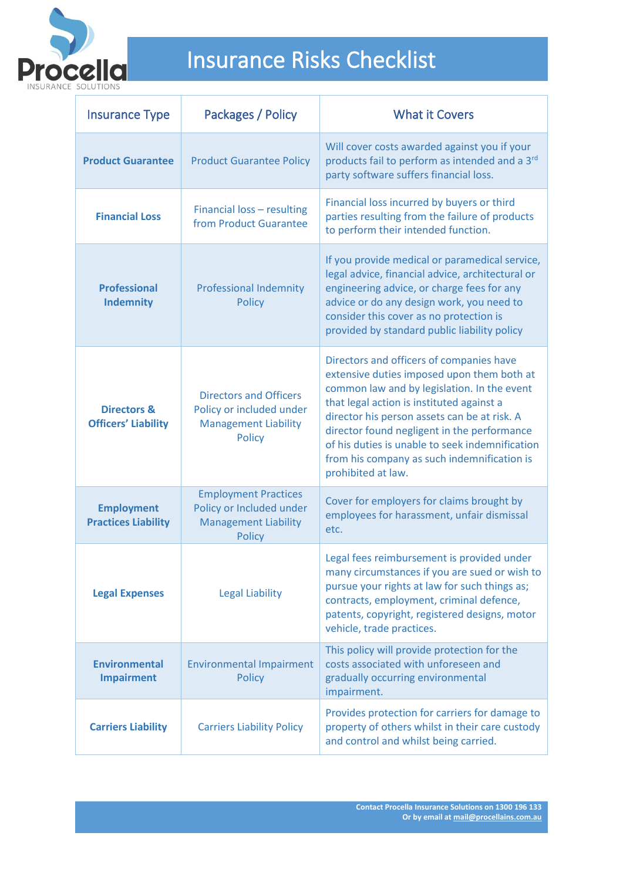

| <b>Insurance Type</b>                                | Packages / Policy                                                                                         | <b>What it Covers</b>                                                                                                                                                                                                                                                                                                                                                                                     |
|------------------------------------------------------|-----------------------------------------------------------------------------------------------------------|-----------------------------------------------------------------------------------------------------------------------------------------------------------------------------------------------------------------------------------------------------------------------------------------------------------------------------------------------------------------------------------------------------------|
| <b>Product Guarantee</b>                             | <b>Product Guarantee Policy</b>                                                                           | Will cover costs awarded against you if your<br>products fail to perform as intended and a 3rd<br>party software suffers financial loss.                                                                                                                                                                                                                                                                  |
| <b>Financial Loss</b>                                | Financial loss - resulting<br>from Product Guarantee                                                      | Financial loss incurred by buyers or third<br>parties resulting from the failure of products<br>to perform their intended function.                                                                                                                                                                                                                                                                       |
| <b>Professional</b><br><b>Indemnity</b>              | <b>Professional Indemnity</b><br><b>Policy</b>                                                            | If you provide medical or paramedical service,<br>legal advice, financial advice, architectural or<br>engineering advice, or charge fees for any<br>advice or do any design work, you need to<br>consider this cover as no protection is<br>provided by standard public liability policy                                                                                                                  |
| <b>Directors &amp;</b><br><b>Officers' Liability</b> | <b>Directors and Officers</b><br>Policy or included under<br><b>Management Liability</b><br><b>Policy</b> | Directors and officers of companies have<br>extensive duties imposed upon them both at<br>common law and by legislation. In the event<br>that legal action is instituted against a<br>director his person assets can be at risk. A<br>director found negligent in the performance<br>of his duties is unable to seek indemnification<br>from his company as such indemnification is<br>prohibited at law. |
| <b>Employment</b><br><b>Practices Liability</b>      | <b>Employment Practices</b><br>Policy or Included under<br><b>Management Liability</b><br><b>Policy</b>   | Cover for employers for claims brought by<br>employees for harassment, unfair dismissal<br>etc.                                                                                                                                                                                                                                                                                                           |
| <b>Legal Expenses</b>                                | <b>Legal Liability</b>                                                                                    | Legal fees reimbursement is provided under<br>many circumstances if you are sued or wish to<br>pursue your rights at law for such things as;<br>contracts, employment, criminal defence,<br>patents, copyright, registered designs, motor<br>vehicle, trade practices.                                                                                                                                    |
| <b>Environmental</b><br><b>Impairment</b>            | <b>Environmental Impairment</b><br><b>Policy</b>                                                          | This policy will provide protection for the<br>costs associated with unforeseen and<br>gradually occurring environmental<br>impairment.                                                                                                                                                                                                                                                                   |
| <b>Carriers Liability</b>                            | <b>Carriers Liability Policy</b>                                                                          | Provides protection for carriers for damage to<br>property of others whilst in their care custody<br>and control and whilst being carried.                                                                                                                                                                                                                                                                |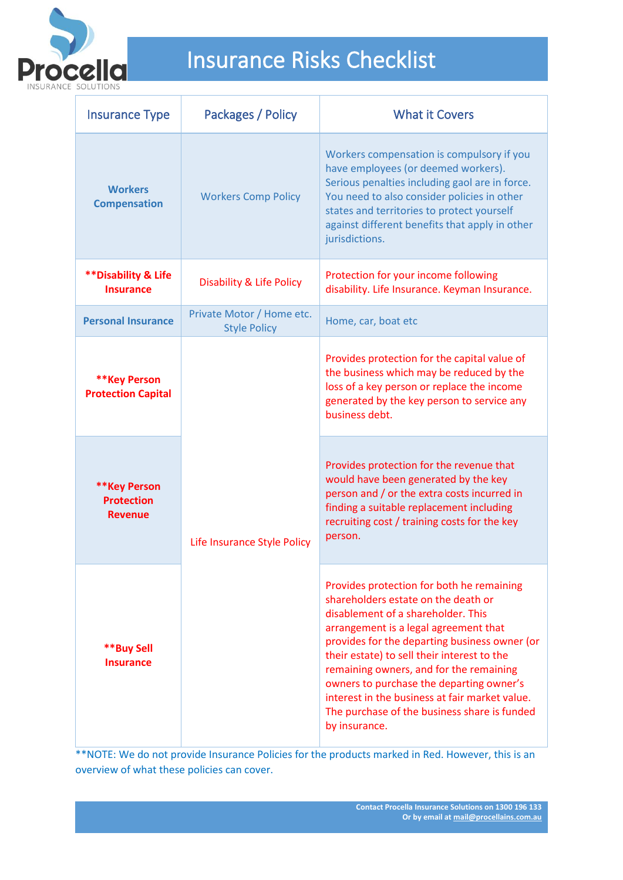

| <b>Insurance Type</b>                                | Packages / Policy                                | <b>What it Covers</b>                                                                                                                                                                                                                                                                                                                                                                                                                                                     |
|------------------------------------------------------|--------------------------------------------------|---------------------------------------------------------------------------------------------------------------------------------------------------------------------------------------------------------------------------------------------------------------------------------------------------------------------------------------------------------------------------------------------------------------------------------------------------------------------------|
| <b>Workers</b><br><b>Compensation</b>                | <b>Workers Comp Policy</b>                       | Workers compensation is compulsory if you<br>have employees (or deemed workers).<br>Serious penalties including gaol are in force.<br>You need to also consider policies in other<br>states and territories to protect yourself<br>against different benefits that apply in other<br>jurisdictions.                                                                                                                                                                       |
| <b>**Disability &amp; Life</b><br><b>Insurance</b>   | <b>Disability &amp; Life Policy</b>              | Protection for your income following<br>disability. Life Insurance. Keyman Insurance.                                                                                                                                                                                                                                                                                                                                                                                     |
| <b>Personal Insurance</b>                            | Private Motor / Home etc.<br><b>Style Policy</b> | Home, car, boat etc                                                                                                                                                                                                                                                                                                                                                                                                                                                       |
| **Key Person<br><b>Protection Capital</b>            | Life Insurance Style Policy                      | Provides protection for the capital value of<br>the business which may be reduced by the<br>loss of a key person or replace the income<br>generated by the key person to service any<br>business debt.                                                                                                                                                                                                                                                                    |
| ** Key Person<br><b>Protection</b><br><b>Revenue</b> |                                                  | Provides protection for the revenue that<br>would have been generated by the key<br>person and / or the extra costs incurred in<br>finding a suitable replacement including<br>recruiting cost / training costs for the key<br>person.                                                                                                                                                                                                                                    |
| **Buy Sell<br><b>Insurance</b>                       |                                                  | Provides protection for both he remaining<br>shareholders estate on the death or<br>disablement of a shareholder. This<br>arrangement is a legal agreement that<br>provides for the departing business owner (or<br>their estate) to sell their interest to the<br>remaining owners, and for the remaining<br>owners to purchase the departing owner's<br>interest in the business at fair market value.<br>The purchase of the business share is funded<br>by insurance. |

T \*\*NOTE: We do not provide Insurance Policies for the products marked in Red. However, this is an overview of what these policies can cover.